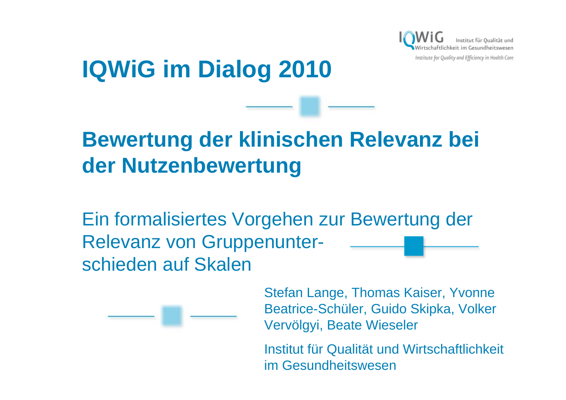

# **IQWiG im Dialog 2010**

# **Bewertung der klinischen Relevanz bei der Nutzenbewertung**

Ein formalisiertes Vorgehen zur Bewertung der Relevanz von Gruppenunterschieden auf Skalen



Stefan Lange, Thomas Kaiser, Yvonne Beatrice-Schüler, Guido Skipka, Volker Vervölgyi, Beate Wieseler

Institut für Qualität und Wirtschaftlichkeit im Gesundheitswesen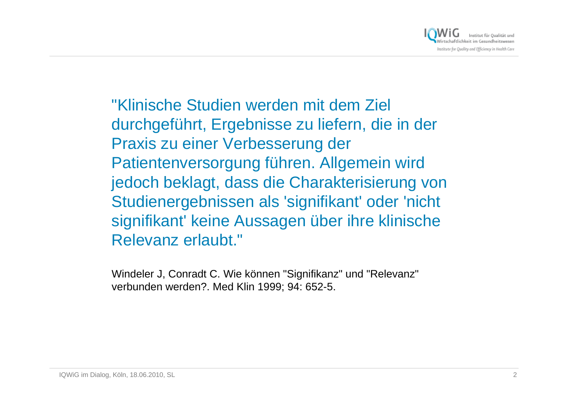

"Klinische Studien werden mit dem Ziel durchgeführt, Ergebnisse zu liefern, die in der Praxis zu einer Verbesserung der Patientenversorgung führen. Allgemein wird jedoch beklagt, dass die Charakterisierung von Studienergebnissen als 'signifikant' oder 'nicht signifikant' keine Aussagen über ihre klinische Relevanz erlaubt."

Windeler J, Conradt C. Wie können "Signifikanz" und "Relevanz" verbunden werden?. Med Klin 1999; 94: 652-5.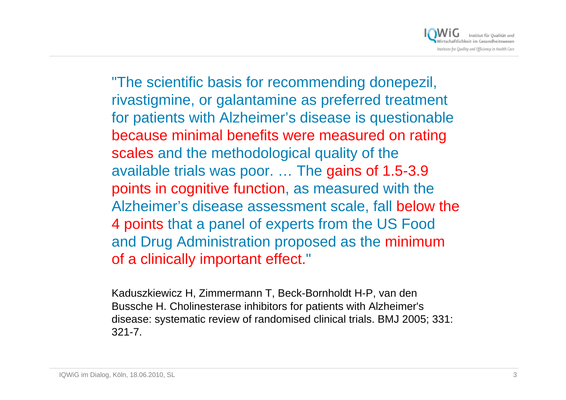Institut für Qualität und :hkeit im Gesundheitsweser Institute for Quality and Efficiency in Health Care

"The scientific basis for recommending donepezil, rivastigmine, or galantamine as preferred treatment for patients with Alzheimer's disease is questionable because minimal benefits were measured on rating scales and the methodological quality of the available trials was poor. … The gains of 1.5-3.9 points in cognitive function, as measured with the Alzheimer's disease assessment scale, fall below the 4 points that a panel of experts from the US Food and Drug Administration proposed as the minimum of a clinically important effect."

Kaduszkiewicz H, Zimmermann T, Beck-Bornholdt H-P, van den Bussche H. Cholinesterase inhibitors for patients with Alzheimer's disease: systematic review of randomised clinical trials. BMJ 2005; 331: 321-7.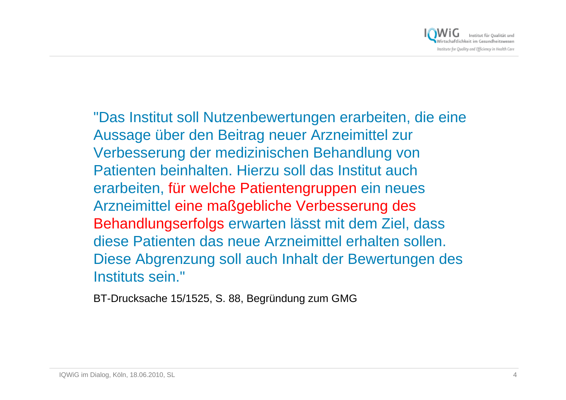

"Das Institut soll Nutzenbewertungen erarbeiten, die eine Aussage über den Beitrag neuer Arzneimittel zur Verbesserung der medizinischen Behandlung von Patienten beinhalten. Hierzu soll das Institut auch erarbeiten, für welche Patientengruppen ein neues Arzneimittel eine maßgebliche Verbesserung des Behandlungserfolgs erwarten lässt mit dem Ziel, dass diese Patienten das neue Arzneimittel erhalten sollen. Diese Abgrenzung soll auch Inhalt der Bewertungen des Instituts sein."

BT-Drucksache 15/1525, S. 88, Begründung zum GMG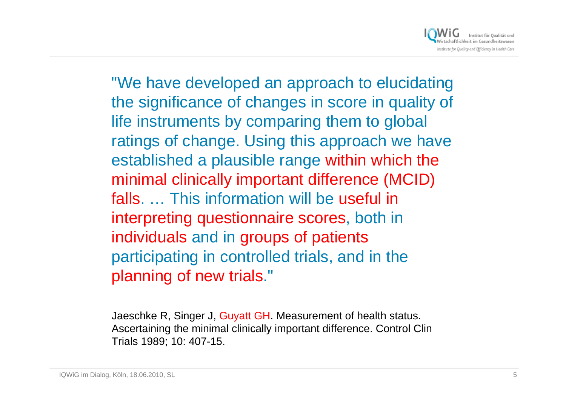

"We have developed an approach to elucidating the significance of changes in score in quality of life instruments by comparing them to global ratings of change. Using this approach we have established a plausible range within which the minimal clinically important difference (MCID) falls. … This information will be useful in interpreting questionnaire scores, both in individuals and in groups of patients participating in controlled trials, and in the planning of new trials."

Jaeschke R, Singer J, Guyatt GH. Measurement of health status. Ascertaining the minimal clinically important difference. Control Clin Trials 1989; 10: 407-15.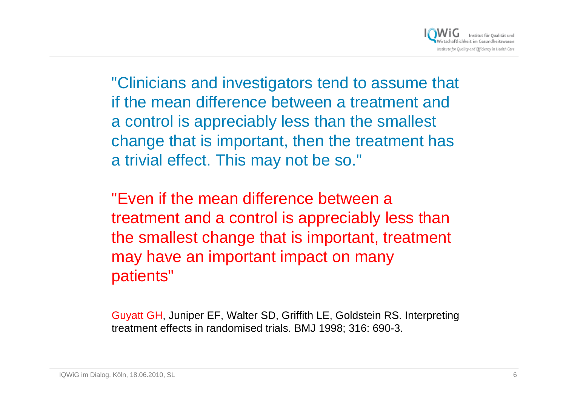

"Clinicians and investigators tend to assume that if the mean difference between a treatment and a control is appreciably less than the smallest change that is important, then the treatment has a trivial effect. This may not be so."

"Even if the mean difference between a treatment and a control is appreciably less than the smallest change that is important, treatment may have an important impact on many patients"

Guyatt GH, Juniper EF, Walter SD, Griffith LE, Goldstein RS. Interpreting treatment effects in randomised trials. BMJ 1998; 316: 690-3.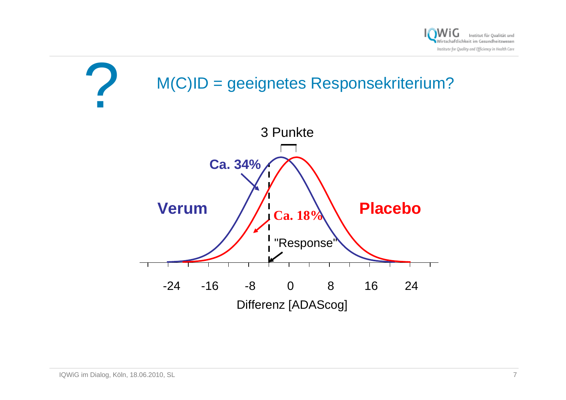

# ?M(C)ID = geeignetes Responsekriterium?

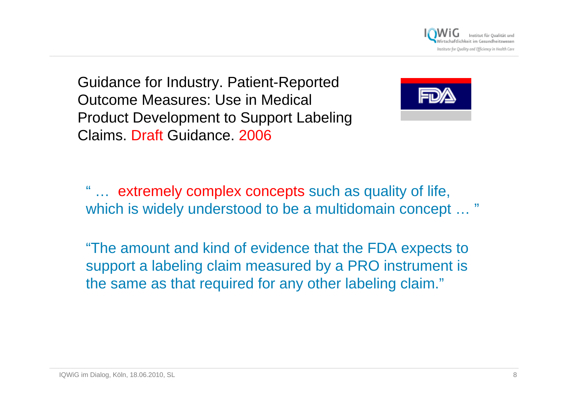Institute for Quality and Efficiency in Health Care

Guidance for Industry. Patient-Reported Outcome Measures: Use in Medical Product Development to Support Labeling Claims. Draft Guidance. 2006



" … extremely complex concepts such as quality of life, which is widely understood to be a multidomain concept ...

"The amount and kind of evidence that the FDA expects to support a labeling claim measured by a PRO instrument is the same as that required for any other labeling claim."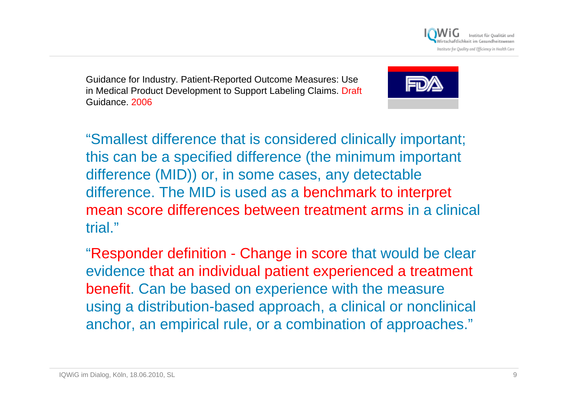

Guidance for Industry. Patient-Reported Outcome Measures: Use in Medical Product Development to Support Labeling Claims. [Draft](http://www.fda.gov/default.htm)  Guidance. 2006



"Smallest difference that is considered clinically important; this can be a specified difference (the minimum important difference (MID)) or, in some cases, any detectable difference. The MID is used as a benchmark to interpret mean score differences between treatment arms in a clinical trial."

"Responder definition - Change in score that would be clear evidence that an individual patient experienced a treatment benefit. Can be based on experience with the measure using a distribution-based approach, a clinical or nonclinical anchor, an empirical rule, or a combination of approaches."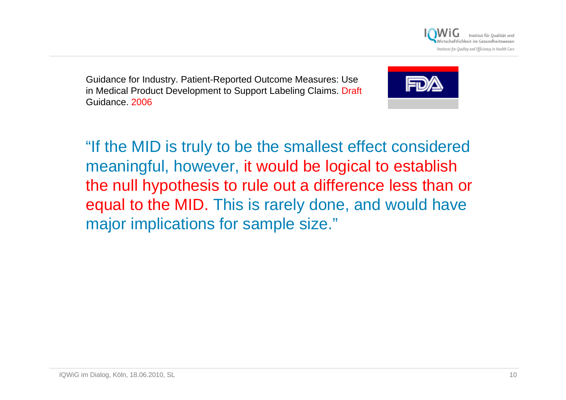

Guidance for Industry. Patient-Reported Outcome Measures: Use in Medical Product Development to Support Labeling Claims. [Draft](http://www.fda.gov/default.htm)  Guidance. 2006



"If the MID is truly to be the smallest effect considered meaningful, however, it would be logical to establish the null hypothesis to rule out a difference less than or equal to the MID. This is rarely done, and would have major implications for sample size."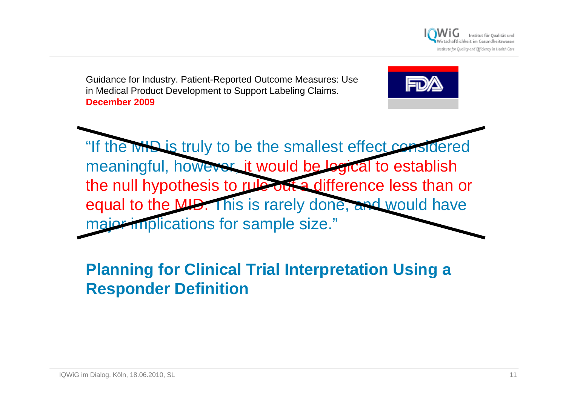

Guidance for Industry. Patient-Reported Outcome Measures: [Use](http://www.fda.gov/default.htm)  in Medical Product Development to Support Labeling Claims. **December 2009**



## **Planning for Clinical Trial Interpretation Using a Responder Definition**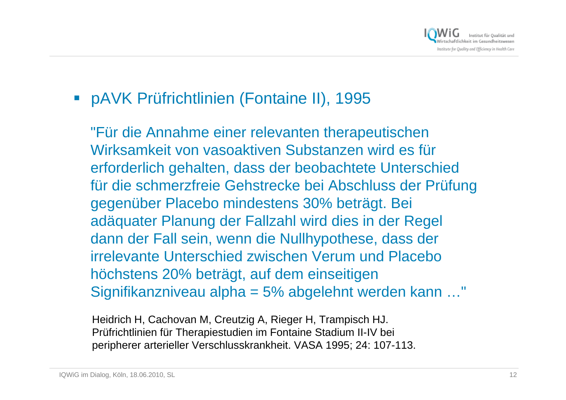

### pAVK Prüfrichtlinien (Fontaine II), 1995

"Für die Annahme einer relevanten therapeutischen Wirksamkeit von vasoaktiven Substanzen wird es für erforderlich gehalten, dass der beobachtete Unterschied für die schmerzfreie Gehstrecke bei Abschluss der Prüfung gegenüber Placebo mindestens 30% beträgt. Bei adäquater Planung der Fallzahl wird dies in der Regel dann der Fall sein, wenn die Nullhypothese, dass der irrelevante Unterschied zwischen Verum und Placebo höchstens 20% beträgt, auf dem einseitigen Signifikanzniveau alpha = 5% abgelehnt werden kann …"

Heidrich H, Cachovan M, Creutzig A, Rieger H, Trampisch HJ. Prüfrichtlinien für Therapiestudien im Fontaine Stadium II-IV bei peripherer arterieller Verschlusskrankheit. VASA 1995; 24: 107-113.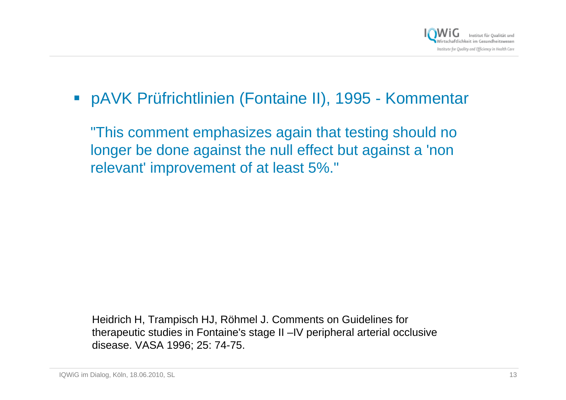

### pAVK Prüfrichtlinien (Fontaine II), 1995 - Kommentar

"This comment emphasizes again that testing should no longer be done against the null effect but against a 'non relevant' improvement of at least 5%."

Heidrich H, Trampisch HJ, Röhmel J. Comments on Guidelines for therapeutic studies in Fontaine's stage II –IV peripheral arterial occlusive disease. VASA 1996; 25: 74-75.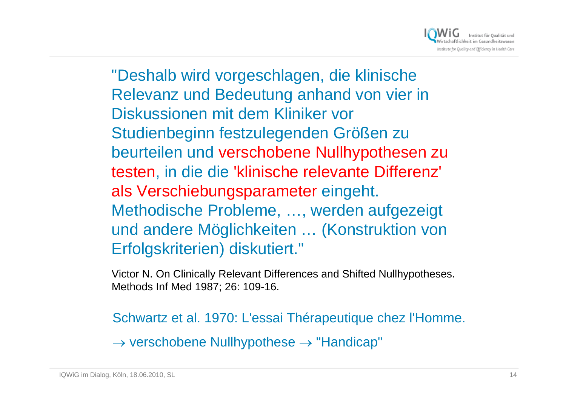

"Deshalb wird vorgeschlagen, die klinische Relevanz und Bedeutung anhand von vier in Diskussionen mit dem Kliniker vor Studienbeginn festzulegenden Größen zu beurteilen und verschobene Nullhypothesen zu testen, in die die 'klinische relevante Differenz' als Verschiebungsparameter eingeht. Methodische Probleme, …, werden aufgezeigt und andere Möglichkeiten … (Konstruktion von Erfolgskriterien) diskutiert."

Victor N. On Clinically Relevant Differences and Shifted Nullhypotheses. Methods Inf Med 1987; 26: 109-16.

Schwartz et al. 1970: L'essai Thérapeutique chez l'Homme.

 $\rightarrow$  verschobene Nullhypothese  $\rightarrow$  "Handicap"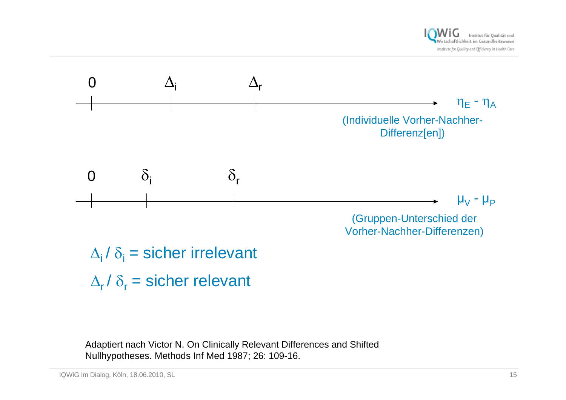



 $\Delta_{\sf i}$  /  $\delta_{\sf i}$  = sicher irrelevant  $\Delta_{\rm r}/\delta_{\rm r}$  = sicher relevant

Adaptiert nach Victor N. On Clinically Relevant Differences and Shifted Nullhypotheses. Methods Inf Med 1987; 26: 109-16.

IQWiG im Dialog, Köln, 18.06.2010, SL 15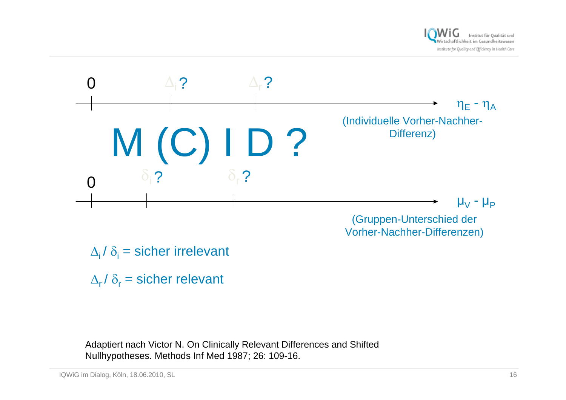



(Gruppen-Unterschied der Vorher-Nachher-Differenzen)

- $\Delta_{\rm i}$  /  $\delta_{\rm i}$  = sicher irrelevant
- $\Delta_{\sf r}$ /  $\delta_{\sf r}$  = sicher relevant

Adaptiert nach Victor N. On Clinically Relevant Differences and Shifted Nullhypotheses. Methods Inf Med 1987; 26: 109-16.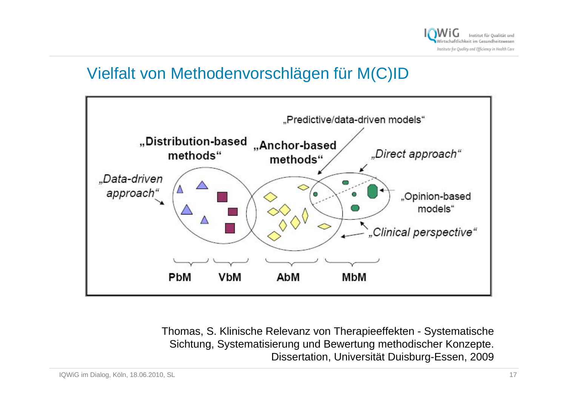

### Vielfalt von Methodenvorschlägen für M(C)ID



Thomas, S. Klinische Relevanz von Therapieeffekten - Systematische Sichtung, Systematisierung und Bewertung methodischer Konzepte. Dissertation, Universität Duisburg-Essen, 2009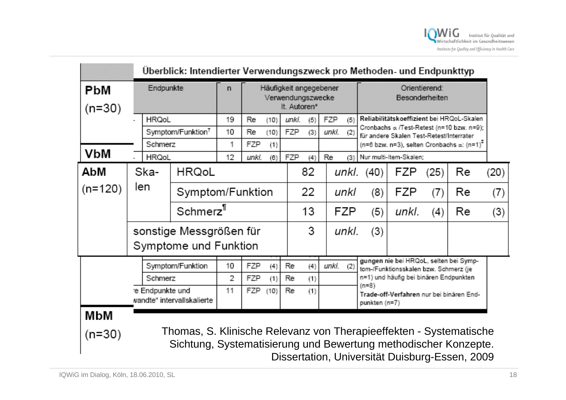|            |              | Überblick: Intendierter Verwendungszweck pro Methoden- und Endpunkttyp                                                                |                            |    |                                             |      |       |              |       |                                                 |                                                                                        |       |      |    |      |
|------------|--------------|---------------------------------------------------------------------------------------------------------------------------------------|----------------------------|----|---------------------------------------------|------|-------|--------------|-------|-------------------------------------------------|----------------------------------------------------------------------------------------|-------|------|----|------|
| <b>PbM</b> |              | Endpunkte                                                                                                                             |                            |    | Häufigkeit angegebener<br>Verwendungszwecke |      |       |              |       |                                                 | Orientierend:<br>Besonderheiten                                                        |       |      |    |      |
| $(n=30)$   | <b>HRQoL</b> |                                                                                                                                       |                            |    |                                             |      |       | It. Autoren* |       |                                                 |                                                                                        |       |      |    |      |
|            |              |                                                                                                                                       |                            | 19 | Re                                          | (10) | unki. | (5)          | FZP   | (5)                                             | Reliabilitätskoeffizient bei HRQoL-Skalen<br>Cronbachs a /Test-Retest (n=10 bzw. n=9); |       |      |    |      |
|            |              | Symptom/Funktion <sup>1</sup>                                                                                                         |                            | 10 | Re                                          | (10) | FZP   | (3)          | unki. | (2)<br>für andere Skalen Test-Retest/Interrater |                                                                                        |       |      |    |      |
|            |              | Schmerz                                                                                                                               |                            | 1  | FZP                                         | (1)  |       |              |       |                                                 | (n=6 bzw. n=3), selten Cronbachs a: (n=1) <sup>*</sup>                                 |       |      |    |      |
| VbM        | <b>HRQoL</b> |                                                                                                                                       |                            | 12 | unki.                                       | (6)  | FZP   | (4)          | Re    | (3)                                             | Nur multi-Item-Skalen;                                                                 |       |      |    |      |
| AbM        |              | Ska-                                                                                                                                  | <b>HRQoL</b>               |    |                                             |      |       | 82           |       |                                                 | unkl. (40)                                                                             | FZP   | (25) | Re | (20) |
| $(n=120)$  | len          |                                                                                                                                       | Symptom/Funktion           |    |                                             |      |       | 22           |       | unkl                                            | (8)                                                                                    | FZP   | (7)  | Re | (7)  |
|            |              |                                                                                                                                       | Schmerz <sup>1</sup>       |    |                                             |      |       | 13           |       | FZP                                             | (5)                                                                                    | unkl. | (4)  | Re | (3)  |
|            |              |                                                                                                                                       | sonstige Messgrößen für    |    |                                             |      |       | 3            |       | unkl.                                           |                                                                                        |       |      |    |      |
|            |              | Symptome und Funktion                                                                                                                 |                            |    |                                             |      |       |              |       |                                                 |                                                                                        |       |      |    |      |
|            | Schmerz      |                                                                                                                                       | Symptom/Funktion           | 10 | FZP                                         | (4)  | Re    | (4)          | unkl. | (2)                                             | gungen nie bei HRQoL, selten bei Symp-<br>tom-/Funktionsskalen bzw. Schmerz (je        |       |      |    |      |
|            |              |                                                                                                                                       |                            | 2  | FZP                                         | (1)  | Re    | (1)          |       |                                                 | n=1) und häufig bei binären Endpunkten<br>$(n=8)$                                      |       |      |    |      |
|            |              | re Endpunkte und                                                                                                                      | wandte" intervallskalierte | 11 | FZP                                         | (10) | Re    | (1)          |       |                                                 | Trade-off-Verfahren nur bei binären End-<br>punkten (n=7)                              |       |      |    |      |
| МЬМ        |              |                                                                                                                                       |                            |    |                                             |      |       |              |       |                                                 |                                                                                        |       |      |    |      |
| $(n=30)$   |              | Thomas, S. Klinische Relevanz von Therapieeffekten - Systematische<br>Sichtung, Systematisierung und Bewertung methodischer Konzepte. |                            |    |                                             |      |       |              |       |                                                 |                                                                                        |       |      |    |      |

Dissertation, Universität Duisburg-Essen, 2009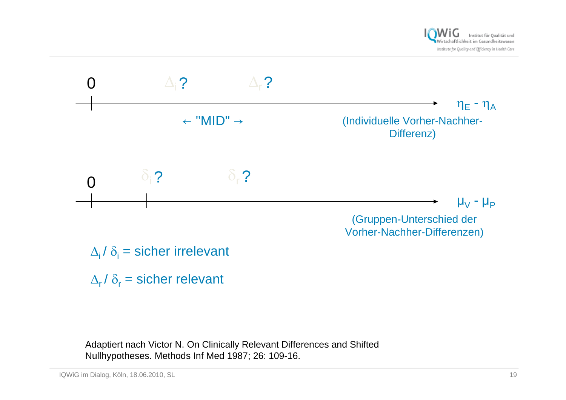



 $\Delta_{\rm i}$  /  $\delta_{\rm i}$  = sicher irrelevant

 $\Delta_{\sf r}$ /  $\delta_{\sf r}$  = sicher relevant

Adaptiert nach Victor N. On Clinically Relevant Differences and Shifted Nullhypotheses. Methods Inf Med 1987; 26: 109-16.

IQWiG im Dialog, Köln, 18.06.2010, SL 19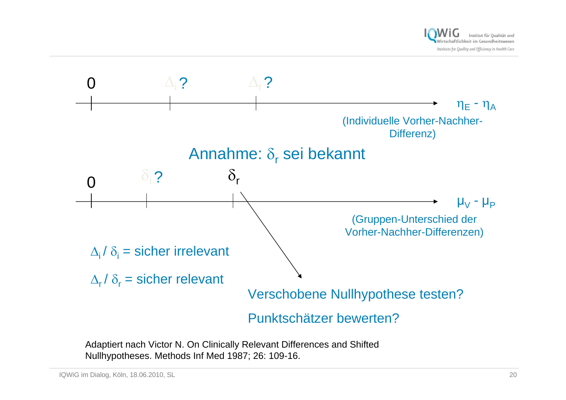



Adaptiert nach Victor N. On Clinically Relevant Differences and Shifted Nullhypotheses. Methods Inf Med 1987; 26: 109-16.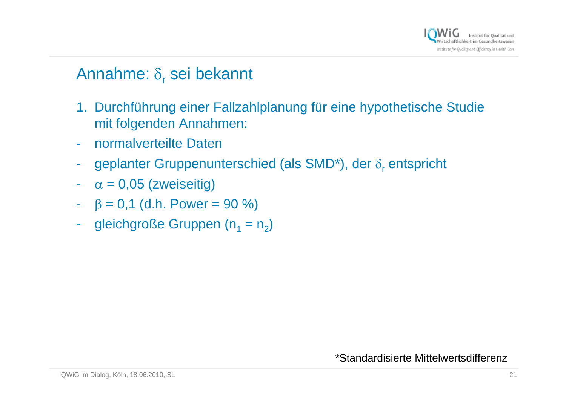

### Annahme: δ<sub>r</sub> sei bekannt

- 1. Durchführung einer Fallzahlplanung für eine hypothetische Studie mit folgenden Annahmen:
- normalverteilte Daten
- geplanter Gruppenunterschied (als SMD\*), der  $\delta_{\sf r}$  entspricht
- - $\alpha$  = 0,05 (zweiseitig)
- $β = 0,1$  (d.h. Power = 90 %)
- gleichgroße Gruppen ( $n_1 = n_2$ )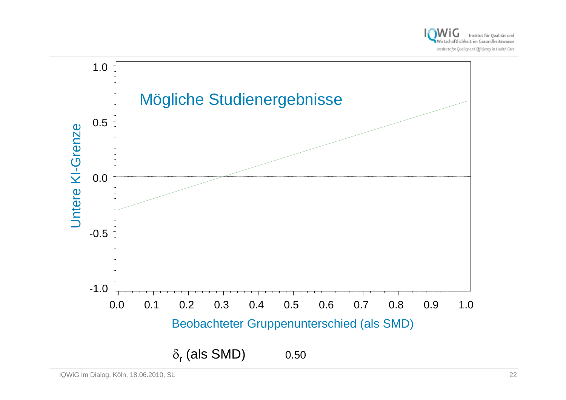

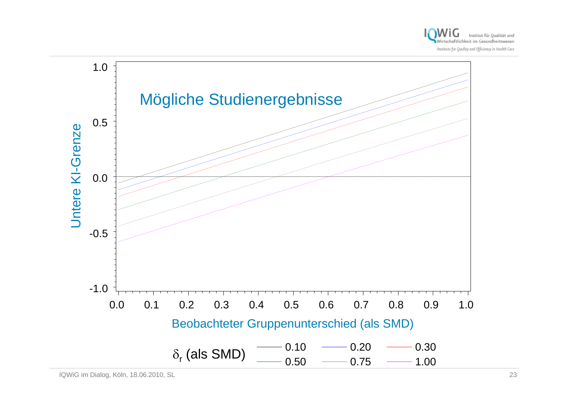

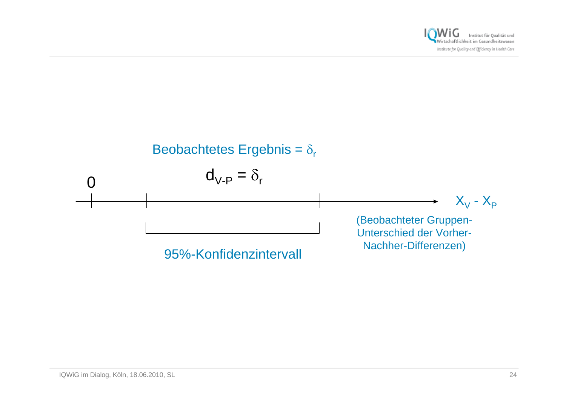

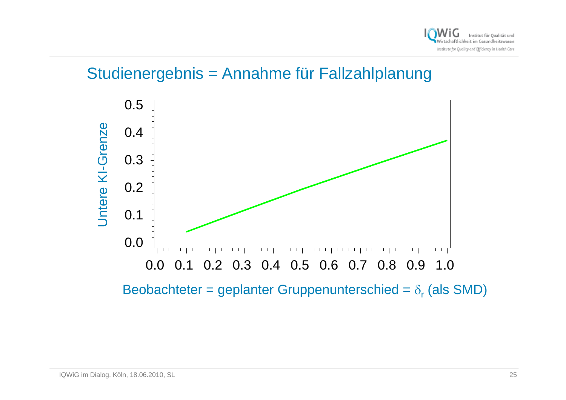

#### Studienergebnis = Annahme für Fallzahlplanung



Beobachteter = geplanter Gruppenunterschied =  $\delta_{\sf r}$  (als SMD)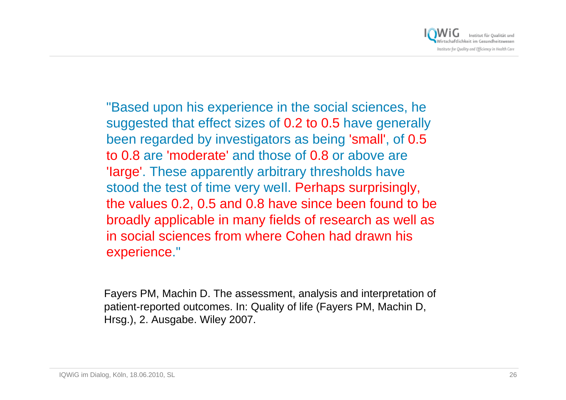

"Based upon his experience in the social sciences, he suggested that effect sizes of 0.2 to 0.5 have generally been regarded by investigators as being 'small', of 0.5 to 0.8 are 'moderate' and those of 0.8 or above are 'Iarge'. These apparently arbitrary thresholds have stood the test of time very well. Perhaps surprisingly, the values 0.2, 0.5 and 0.8 have since been found to be broadly applicable in many fields of research as well as in social sciences from where Cohen had drawn his experience."

Fayers PM, Machin D. The assessment, analysis and interpretation of patient-reported outcomes. In: Quality of life (Fayers PM, Machin D, Hrsg.), 2. Ausgabe. Wiley 2007.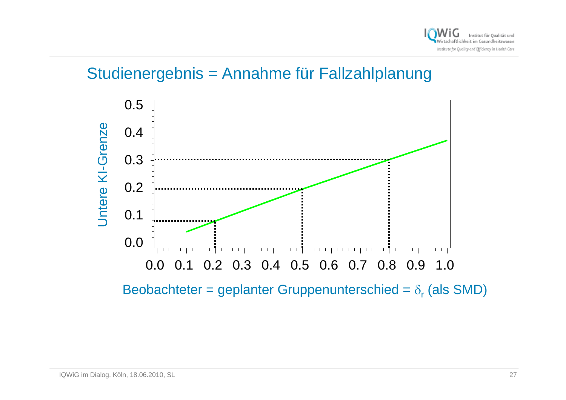

#### Studienergebnis = Annahme für Fallzahlplanung



Beobachteter = geplanter Gruppenunterschied =  $\delta_{\sf r}$  (als SMD)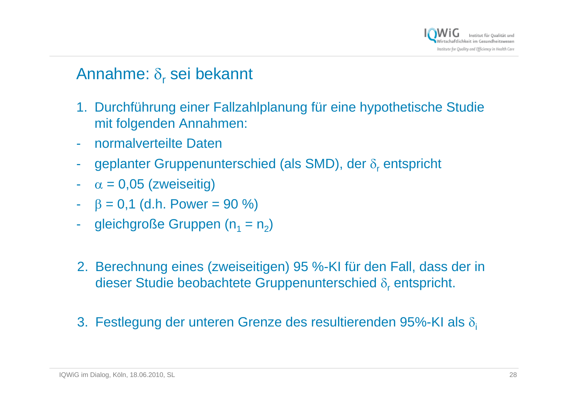

### Annahme: δ<sub>r</sub> sei bekannt

- 1. Durchführung einer Fallzahlplanung für eine hypothetische Studie mit folgenden Annahmen:
- $\mathcal{L}_{\mathcal{A}}$ normalverteilte Daten
- $\mathcal{L}_{\mathcal{A}}$ geplanter Gruppenunterschied (als SMD), der  $\delta_{\mathsf{r}}$  entspricht
- - $\alpha$  = 0,05 (zweiseitig)
- $β = 0,1$  (d.h. Power = 90 %)
- $\mathcal{L}_{\mathcal{A}}$ gleichgroße Gruppen ( $n_1 = n_2$ )
- 2. Berechnung eines (zweiseitigen) 95 %-KI für den Fall, dass der in dieser Studie beobachtete Gruppenunterschied  $\delta_{\sf r}$  entspricht.
- 3. Festlegung der unteren Grenze des resultierenden 95%-KI als  $\delta_i$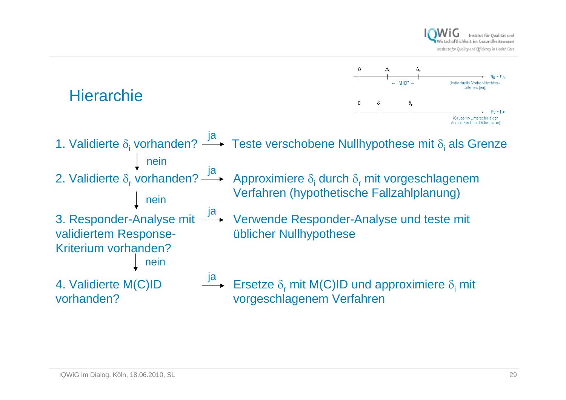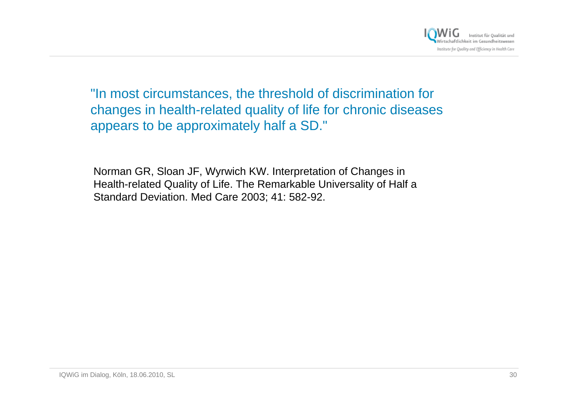

"In most circumstances, the threshold of discrimination for changes in health-related quality of life for chronic diseases appears to be approximately half a SD."

Norman GR, Sloan JF, Wyrwich KW. Interpretation of Changes in Health-related Quality of Life. The Remarkable Universality of Half a Standard Deviation. Med Care 2003; 41: 582-92.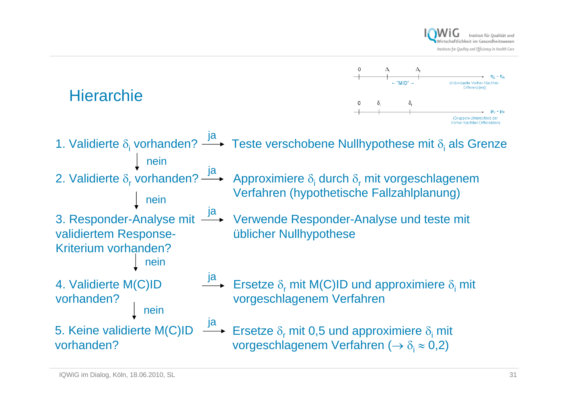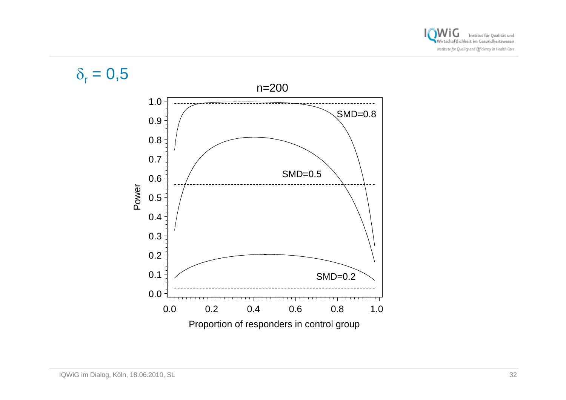

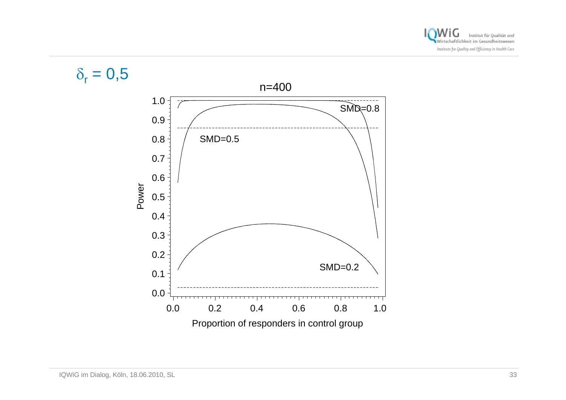

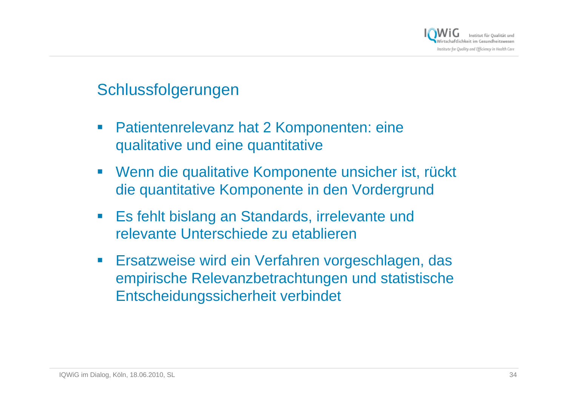

#### Schlussfolgerungen

- $\mathcal{L}_{\mathcal{A}}$  Patientenrelevanz hat 2 Komponenten: eine qualitative und eine quantitative
- $\mathcal{L}_{\mathcal{A}}$  Wenn die qualitative Komponente unsicher ist, rückt die quantitative Komponente in den Vordergrund
- $\mathcal{L}_{\mathcal{A}}$  Es fehlt bislang an Standards, irrelevante und relevante Unterschiede zu etablieren
- $\mathcal{L}_{\mathcal{A}}$  Ersatzweise wird ein Verfahren vorgeschlagen, das empirische Relevanzbetrachtungen und statistische Entscheidungssicherheit verbindet